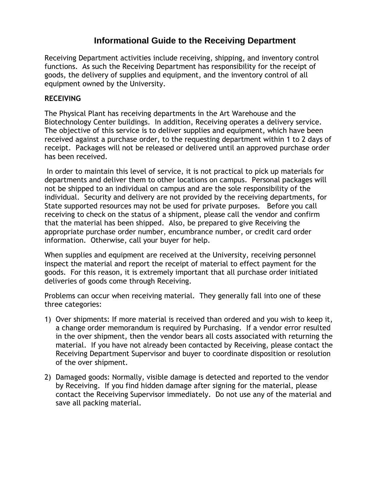## **Informational Guide to the Receiving Department**

Receiving Department activities include receiving, shipping, and inventory control functions. As such the Receiving Department has responsibility for the receipt of goods, the delivery of supplies and equipment, and the inventory control of all equipment owned by the University.

## **RECEIVING**

The Physical Plant has receiving departments in the Art Warehouse and the Biotechnology Center buildings. In addition, Receiving operates a delivery service. The objective of this service is to deliver supplies and equipment, which have been received against a purchase order, to the requesting department within 1 to 2 days of receipt. Packages will not be released or delivered until an approved purchase order has been received.

In order to maintain this level of service, it is not practical to pick up materials for departments and deliver them to other locations on campus. Personal packages will not be shipped to an individual on campus and are the sole responsibility of the individual. Security and delivery are not provided by the receiving departments, for State supported resources may not be used for private purposes. Before you call receiving to check on the status of a shipment, please call the vendor and confirm that the material has been shipped. Also, be prepared to give Receiving the appropriate purchase order number, encumbrance number, or credit card order information. Otherwise, call your buyer for help.

When supplies and equipment are received at the University, receiving personnel inspect the material and report the receipt of material to effect payment for the goods. For this reason, it is extremely important that all purchase order initiated deliveries of goods come through Receiving.

Problems can occur when receiving material. They generally fall into one of these three categories:

- 1) Over shipments: If more material is received than ordered and you wish to keep it, a change order memorandum is required by Purchasing. If a vendor error resulted in the over shipment, then the vendor bears all costs associated with returning the material. If you have not already been contacted by Receiving, please contact the Receiving Department Supervisor and buyer to coordinate disposition or resolution of the over shipment.
- 2) Damaged goods: Normally, visible damage is detected and reported to the vendor by Receiving. If you find hidden damage after signing for the material, please contact the Receiving Supervisor immediately. Do not use any of the material and save all packing material.